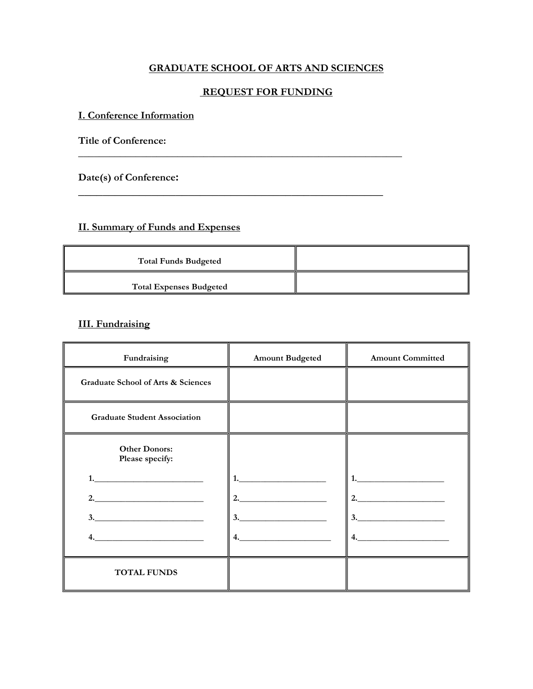## **GRADUATE SCHOOL OF ARTS AND SCIENCES**

### **REQUEST FOR FUNDING**

**\_\_\_\_\_\_\_\_\_\_\_\_\_\_\_\_\_\_\_\_\_\_\_\_\_\_\_\_\_\_\_\_\_\_\_\_\_\_\_\_\_\_\_\_\_\_\_\_\_\_\_\_\_\_\_\_\_\_\_\_\_\_** 

**\_\_\_\_\_\_\_\_\_\_\_\_\_\_\_\_\_\_\_\_\_\_\_\_\_\_\_\_\_\_\_\_\_\_\_\_\_\_\_\_\_\_\_\_\_\_\_\_\_\_**

### **I. Conference Information**

**Title of Conference:** 

**Date(s) of Conference:** 

# **II. Summary of Funds and Expenses**

| <b>Total Funds Budgeted</b>    |  |
|--------------------------------|--|
| <b>Total Expenses Budgeted</b> |  |

## **III. Fundraising**

| Fundraising                                                                                                                                                                                                                                                                                                                                                                                                                                                                                                              | <b>Amount Budgeted</b> | <b>Amount Committed</b>                                                                                                                                                                                                                                                                                                                                                                                                                                                                                                                  |
|--------------------------------------------------------------------------------------------------------------------------------------------------------------------------------------------------------------------------------------------------------------------------------------------------------------------------------------------------------------------------------------------------------------------------------------------------------------------------------------------------------------------------|------------------------|------------------------------------------------------------------------------------------------------------------------------------------------------------------------------------------------------------------------------------------------------------------------------------------------------------------------------------------------------------------------------------------------------------------------------------------------------------------------------------------------------------------------------------------|
| <b>Graduate School of Arts &amp; Sciences</b>                                                                                                                                                                                                                                                                                                                                                                                                                                                                            |                        |                                                                                                                                                                                                                                                                                                                                                                                                                                                                                                                                          |
| <b>Graduate Student Association</b>                                                                                                                                                                                                                                                                                                                                                                                                                                                                                      |                        |                                                                                                                                                                                                                                                                                                                                                                                                                                                                                                                                          |
| <b>Other Donors:</b><br>Please specify:                                                                                                                                                                                                                                                                                                                                                                                                                                                                                  |                        |                                                                                                                                                                                                                                                                                                                                                                                                                                                                                                                                          |
|                                                                                                                                                                                                                                                                                                                                                                                                                                                                                                                          |                        | 1.                                                                                                                                                                                                                                                                                                                                                                                                                                                                                                                                       |
| 2.                                                                                                                                                                                                                                                                                                                                                                                                                                                                                                                       | 2.                     | 2.                                                                                                                                                                                                                                                                                                                                                                                                                                                                                                                                       |
| $\begin{array}{c} \n3. \quad \textcolor{blue}{\textbf{2.22}} \quad \textcolor{blue}{\textbf{2.33}} \quad \textcolor{blue}{\textbf{2.44}} \quad \textcolor{blue}{\textbf{2.5}} \quad \textcolor{blue}{\textbf{2.6}} \quad \textcolor{blue}{\textbf{2.6}} \quad \textcolor{blue}{\textbf{2.6}} \quad \textcolor{blue}{\textbf{2.6}} \quad \textcolor{blue}{\textbf{2.6}} \quad \textcolor{blue}{\textbf{2.6}} \quad \textcolor{blue}{\textbf{2.6}} \quad \textcolor{blue}{\textbf{2.6}} \quad \textcolor{blue}{\textbf{2.$ |                        | $\begin{array}{c} \n \textbf{3.} \quad \textbf{---} \quad \textbf{---} \quad \textbf{---} \quad \textbf{---} \quad \textbf{---} \quad \textbf{---} \quad \textbf{---} \quad \textbf{---} \quad \textbf{---} \quad \textbf{---} \quad \textbf{---} \quad \textbf{---} \quad \textbf{---} \quad \textbf{---} \quad \textbf{---} \quad \textbf{---} \quad \textbf{---} \quad \textbf{---} \quad \textbf{---} \quad \textbf{---} \quad \textbf{---} \quad \textbf{---} \quad \textbf{---} \quad \textbf{---} \quad \textbf{---} \quad \text$ |
|                                                                                                                                                                                                                                                                                                                                                                                                                                                                                                                          | 4.                     | 4.                                                                                                                                                                                                                                                                                                                                                                                                                                                                                                                                       |
| <b>TOTAL FUNDS</b>                                                                                                                                                                                                                                                                                                                                                                                                                                                                                                       |                        |                                                                                                                                                                                                                                                                                                                                                                                                                                                                                                                                          |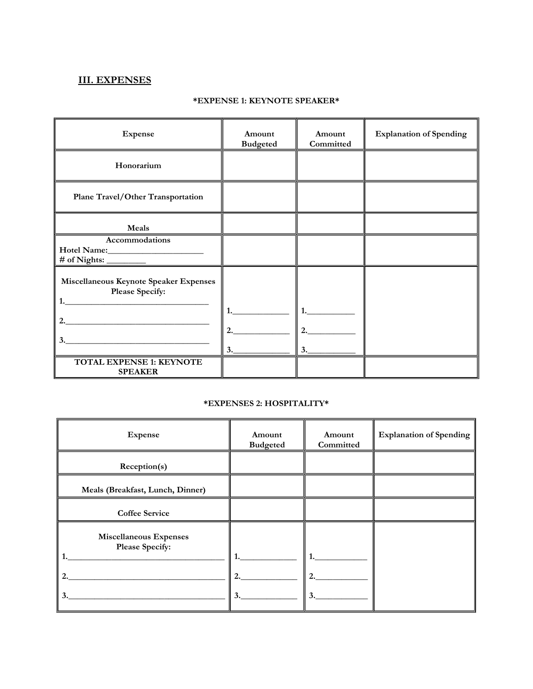# **III. EXPENSES**

#### **\*EXPENSE 1: KEYNOTE SPEAKER\***

| <b>Expense</b>                                                  | Amount<br><b>Budgeted</b> | Amount<br>Committed | <b>Explanation of Spending</b> |
|-----------------------------------------------------------------|---------------------------|---------------------|--------------------------------|
| Honorarium                                                      |                           |                     |                                |
| <b>Plane Travel/Other Transportation</b>                        |                           |                     |                                |
| Meals                                                           |                           |                     |                                |
| Accommodations<br>$\#\text{ of Nights:}\_\_\_\_\_\_\_\_\$       |                           |                     |                                |
| Miscellaneous Keynote Speaker Expenses<br>Please Specify:<br>1. |                           |                     |                                |
| 3.                                                              | 2.<br>3.                  | $1$ .<br>2.<br>3.   |                                |
| <b>TOTAL EXPENSE 1: KEYNOTE</b><br><b>SPEAKER</b>               |                           |                     |                                |

#### **\*EXPENSES 2: HOSPITALITY\***

| <b>Expense</b>                                               | Amount<br><b>Budgeted</b> | Amount<br>Committed | <b>Explanation of Spending</b> |
|--------------------------------------------------------------|---------------------------|---------------------|--------------------------------|
| Reception(s)                                                 |                           |                     |                                |
| Meals (Breakfast, Lunch, Dinner)                             |                           |                     |                                |
| <b>Coffee Service</b>                                        |                           |                     |                                |
| <b>Miscellaneous Expenses</b><br>Please Specify:<br>2.<br>3. | 2.<br>3.                  | 2.<br>3.            |                                |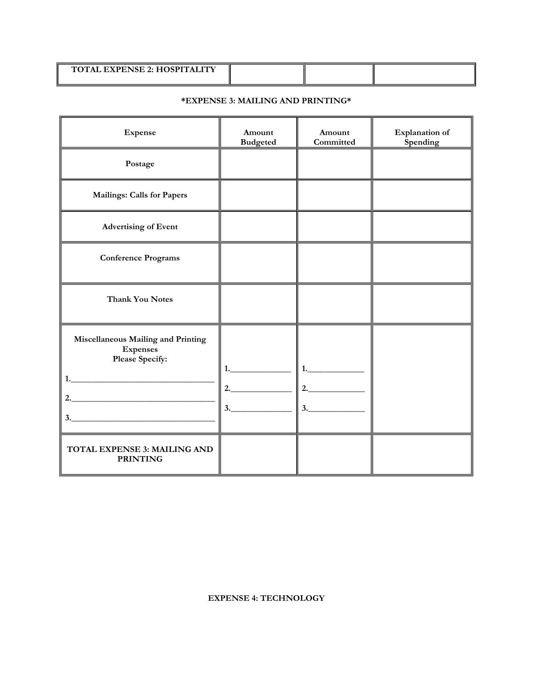| <b>TOTAL EXPENSE 2: HOSPITALITY</b> |  |  |
|-------------------------------------|--|--|
|                                     |  |  |
|                                     |  |  |
|                                     |  |  |

### **\*EXPENSE 3: MAILING AND PRINTING\***

| <b>Expense</b>                                                                             | Amount<br><b>Budgeted</b> | Amount<br>Committed | <b>Explanation</b> of<br>Spending |
|--------------------------------------------------------------------------------------------|---------------------------|---------------------|-----------------------------------|
| Postage                                                                                    |                           |                     |                                   |
| <b>Mailings: Calls for Papers</b>                                                          |                           |                     |                                   |
| <b>Advertising of Event</b>                                                                |                           |                     |                                   |
| <b>Conference Programs</b>                                                                 |                           |                     |                                   |
| <b>Thank You Notes</b>                                                                     |                           |                     |                                   |
| Miscellaneous Mailing and Printing<br><b>Expenses</b><br>Please Specify:<br>1.<br>2.<br>3. | 2.<br>3.                  | 2.<br>3.            |                                   |
| TOTAL EXPENSE 3: MAILING AND<br><b>PRINTING</b>                                            |                           |                     |                                   |

**EXPENSE 4: TECHNOLOGY**